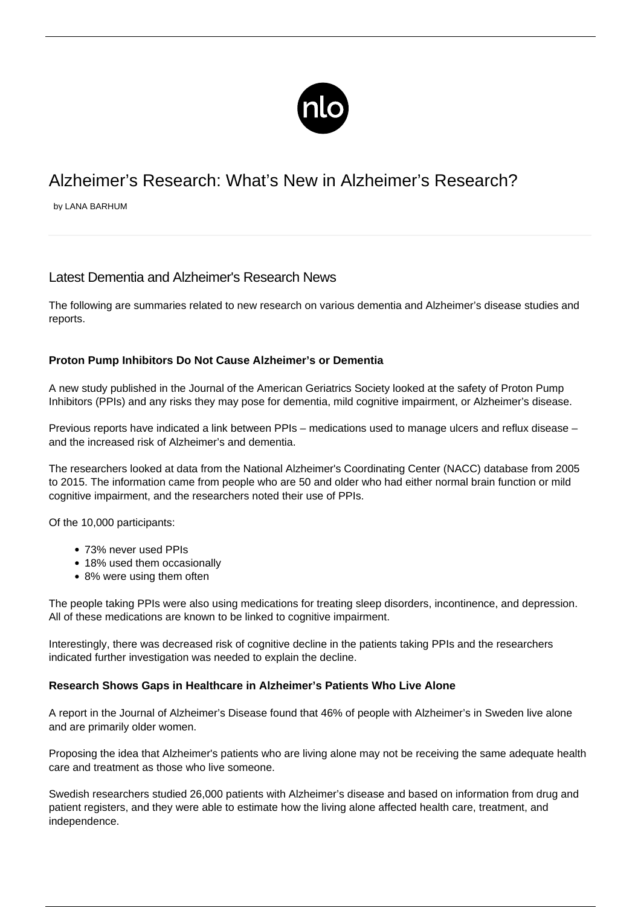

# Alzheimer's Research: What's New in Alzheimer's Research?

by LANA BARHUM

# Latest Dementia and Alzheimer's Research News

The following are summaries related to new research on various dementia and Alzheimer's disease studies and reports.

## **Proton Pump Inhibitors Do Not Cause Alzheimer's or Dementia**

A new study published in the Journal of the American Geriatrics Society looked at the safety of Proton Pump Inhibitors (PPIs) and any risks they may pose for dementia, mild cognitive impairment, or Alzheimer's disease.

Previous reports have indicated a link between PPIs – medications used to manage ulcers and reflux disease – and the increased risk of Alzheimer's and dementia.

The researchers looked at data from the National Alzheimer's Coordinating Center (NACC) database from 2005 to 2015. The information came from people who are 50 and older who had either normal brain function or mild cognitive impairment, and the researchers noted their use of PPIs.

Of the 10,000 participants:

- 73% never used PPIs
- 18% used them occasionally
- 8% were using them often

The people taking PPIs were also using medications for treating sleep disorders, incontinence, and depression. All of these medications are known to be linked to cognitive impairment.

Interestingly, there was decreased risk of cognitive decline in the patients taking PPIs and the researchers indicated further investigation was needed to explain the decline.

#### **Research Shows Gaps in Healthcare in Alzheimer's Patients Who Live Alone**

A report in the Journal of Alzheimer's Disease found that 46% of people with Alzheimer's in Sweden live alone and are primarily older women.

Proposing the idea that Alzheimer's patients who are living alone may not be receiving the same adequate health care and treatment as those who live someone.

Swedish researchers studied 26,000 patients with Alzheimer's disease and based on information from drug and patient registers, and they were able to estimate how the living alone affected health care, treatment, and independence.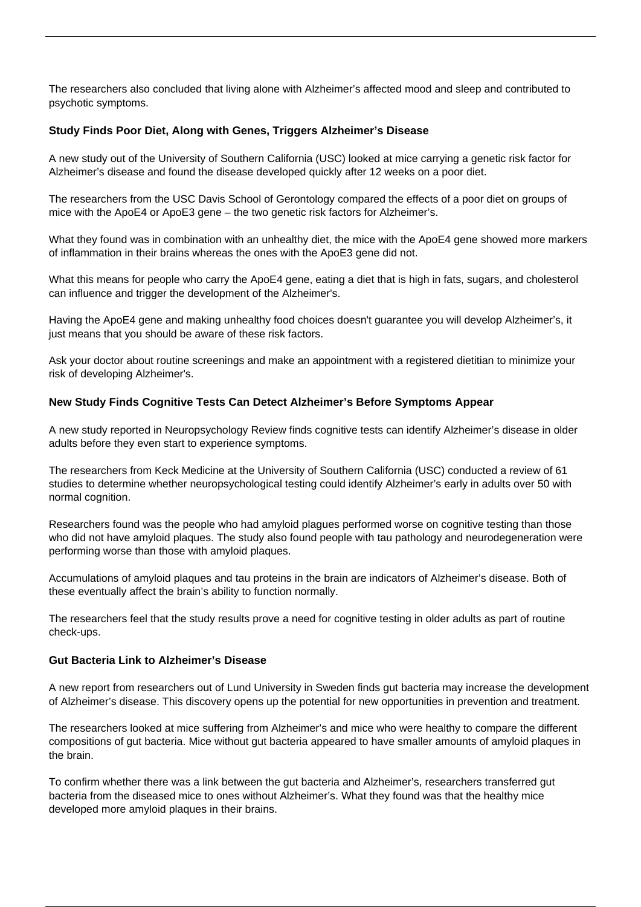The researchers also concluded that living alone with Alzheimer's affected mood and sleep and contributed to psychotic symptoms.

## **Study Finds Poor Diet, Along with Genes, Triggers Alzheimer's Disease**

A new study out of the University of Southern California (USC) looked at mice carrying a genetic risk factor for Alzheimer's disease and found the disease developed quickly after 12 weeks on a poor diet.

The researchers from the USC Davis School of Gerontology compared the effects of a poor diet on groups of mice with the ApoE4 or ApoE3 gene – the two genetic risk factors for Alzheimer's.

What they found was in combination with an unhealthy diet, the mice with the ApoE4 gene showed more markers of inflammation in their brains whereas the ones with the ApoE3 gene did not.

What this means for people who carry the ApoE4 gene, eating a diet that is high in fats, sugars, and cholesterol can influence and trigger the development of the Alzheimer's.

Having the ApoE4 gene and making unhealthy food choices doesn't guarantee you will develop Alzheimer's, it just means that you should be aware of these risk factors.

Ask your doctor about routine screenings and make an appointment with a registered dietitian to minimize your risk of developing Alzheimer's.

#### **New Study Finds Cognitive Tests Can Detect Alzheimer's Before Symptoms Appear**

A new study reported in Neuropsychology Review finds cognitive tests can identify Alzheimer's disease in older adults before they even start to experience [symptoms.](/alzheimers-symptoms/)

The researchers from Keck Medicine at the University of Southern California (USC) conducted a review of 61 studies to determine whether neuropsychological testing could identify Alzheimer's early in adults over 50 with normal cognition.

Researchers found was the people who had amyloid plagues performed worse on cognitive testing than those who did not have amyloid plaques. The study also found people with tau pathology and neurodegeneration were performing worse than those with amyloid plaques.

Accumulations of amyloid plaques and tau proteins in the brain are indicators of Alzheimer's disease. Both of these eventually affect the brain's ability to function normally.

The researchers feel that the study results prove a need for cognitive testing in older adults as part of routine check-ups.

#### **Gut Bacteria Link to Alzheimer's Disease**

A new report from researchers out of Lund University in Sweden finds gut bacteria may increase the development of Alzheimer's disease. This discovery opens up the potential for new opportunities in prevention and treatment.

The researchers looked at mice suffering from Alzheimer's and mice who were healthy to compare the different compositions of gut bacteria. Mice without gut bacteria appeared to have smaller amounts of amyloid plaques in the brain.

To confirm whether there was a link between the gut bacteria and Alzheimer's, researchers transferred gut bacteria from the diseased mice to ones without Alzheimer's. What they found was that the healthy mice developed more amyloid plaques in their brains.